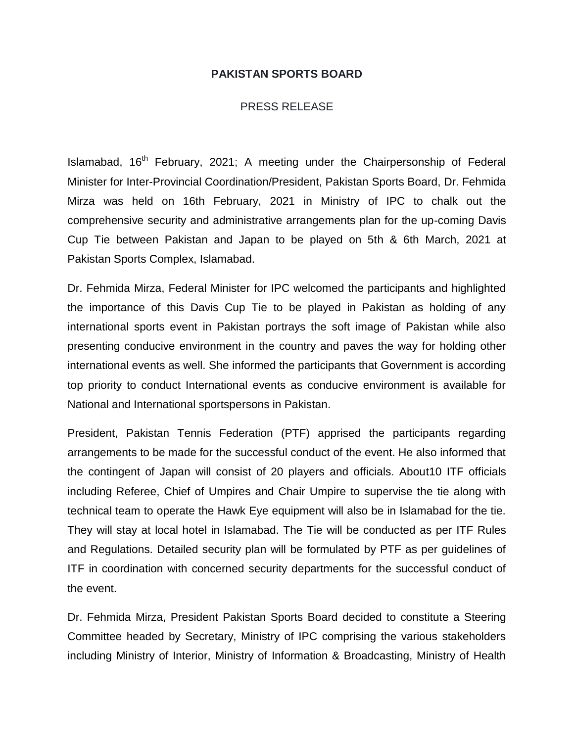## **PAKISTAN SPORTS BOARD**

## PRESS RELEASE

Islamabad, 16<sup>th</sup> February, 2021; A meeting under the Chairpersonship of Federal Minister for Inter-Provincial Coordination/President, Pakistan Sports Board, Dr. Fehmida Mirza was held on 16th February, 2021 in Ministry of IPC to chalk out the comprehensive security and administrative arrangements plan for the up-coming Davis Cup Tie between Pakistan and Japan to be played on 5th & 6th March, 2021 at Pakistan Sports Complex, Islamabad.

Dr. Fehmida Mirza, Federal Minister for IPC welcomed the participants and highlighted the importance of this Davis Cup Tie to be played in Pakistan as holding of any international sports event in Pakistan portrays the soft image of Pakistan while also presenting conducive environment in the country and paves the way for holding other international events as well. She informed the participants that Government is according top priority to conduct International events as conducive environment is available for National and International sportspersons in Pakistan.

President, Pakistan Tennis Federation (PTF) apprised the participants regarding arrangements to be made for the successful conduct of the event. He also informed that the contingent of Japan will consist of 20 players and officials. About10 ITF officials including Referee, Chief of Umpires and Chair Umpire to supervise the tie along with technical team to operate the Hawk Eye equipment will also be in Islamabad for the tie. They will stay at local hotel in Islamabad. The Tie will be conducted as per ITF Rules and Regulations. Detailed security plan will be formulated by PTF as per guidelines of ITF in coordination with concerned security departments for the successful conduct of the event.

Dr. Fehmida Mirza, President Pakistan Sports Board decided to constitute a Steering Committee headed by Secretary, Ministry of IPC comprising the various stakeholders including Ministry of Interior, Ministry of Information & Broadcasting, Ministry of Health